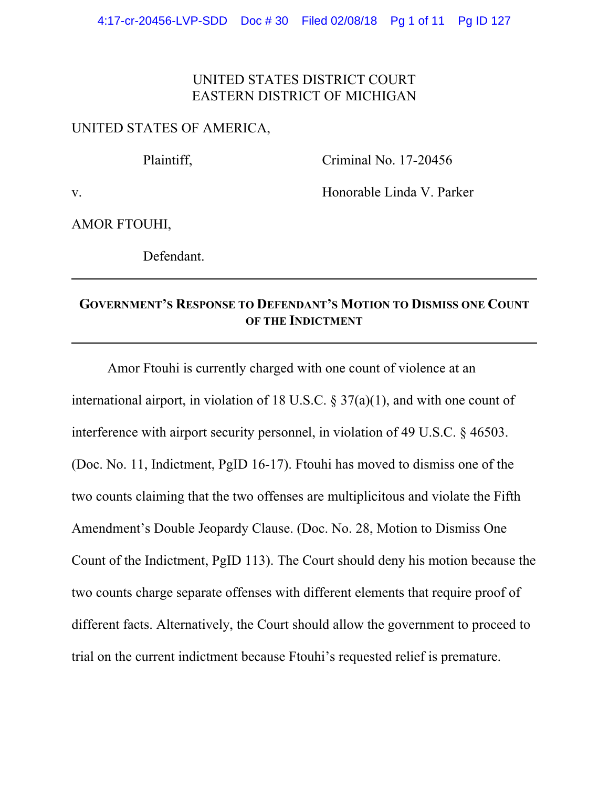## UNITED STATES DISTRICT COURT EASTERN DISTRICT OF MICHIGAN

## UNITED STATES OF AMERICA,

Plaintiff, Criminal No. 17-20456

v. Honorable Linda V. Parker

AMOR FTOUHI,

Defendant.

## **GOVERNMENT'S RESPONSE TO DEFENDANT'S MOTION TO DISMISS ONE COUNT OF THE INDICTMENT**

Amor Ftouhi is currently charged with one count of violence at an international airport, in violation of 18 U.S.C. § 37(a)(1), and with one count of interference with airport security personnel, in violation of 49 U.S.C. § 46503. (Doc. No. 11, Indictment, PgID 16-17). Ftouhi has moved to dismiss one of the two counts claiming that the two offenses are multiplicitous and violate the Fifth Amendment's Double Jeopardy Clause. (Doc. No. 28, Motion to Dismiss One Count of the Indictment, PgID 113). The Court should deny his motion because the two counts charge separate offenses with different elements that require proof of different facts. Alternatively, the Court should allow the government to proceed to trial on the current indictment because Ftouhi's requested relief is premature.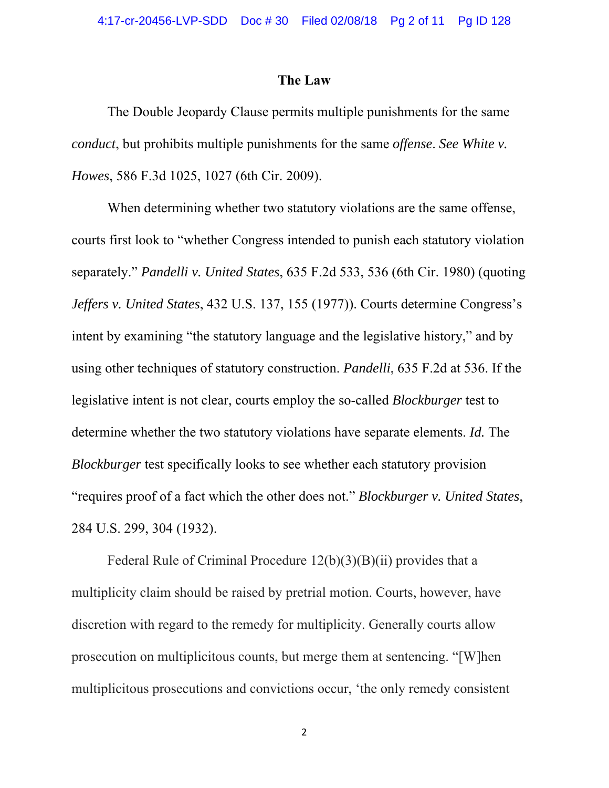## **The Law**

The Double Jeopardy Clause permits multiple punishments for the same *conduct*, but prohibits multiple punishments for the same *offense*. *See White v. Howes*, 586 F.3d 1025, 1027 (6th Cir. 2009).

When determining whether two statutory violations are the same offense, courts first look to "whether Congress intended to punish each statutory violation separately." *Pandelli v. United States*, 635 F.2d 533, 536 (6th Cir. 1980) (quoting *Jeffers v. United States*, 432 U.S. 137, 155 (1977)). Courts determine Congress's intent by examining "the statutory language and the legislative history," and by using other techniques of statutory construction. *Pandelli*, 635 F.2d at 536. If the legislative intent is not clear, courts employ the so-called *Blockburger* test to determine whether the two statutory violations have separate elements. *Id.* The *Blockburger* test specifically looks to see whether each statutory provision "requires proof of a fact which the other does not." *Blockburger v. United States*, 284 U.S. 299, 304 (1932).

Federal Rule of Criminal Procedure 12(b)(3)(B)(ii) provides that a multiplicity claim should be raised by pretrial motion. Courts, however, have discretion with regard to the remedy for multiplicity. Generally courts allow prosecution on multiplicitous counts, but merge them at sentencing. "[W]hen multiplicitous prosecutions and convictions occur, 'the only remedy consistent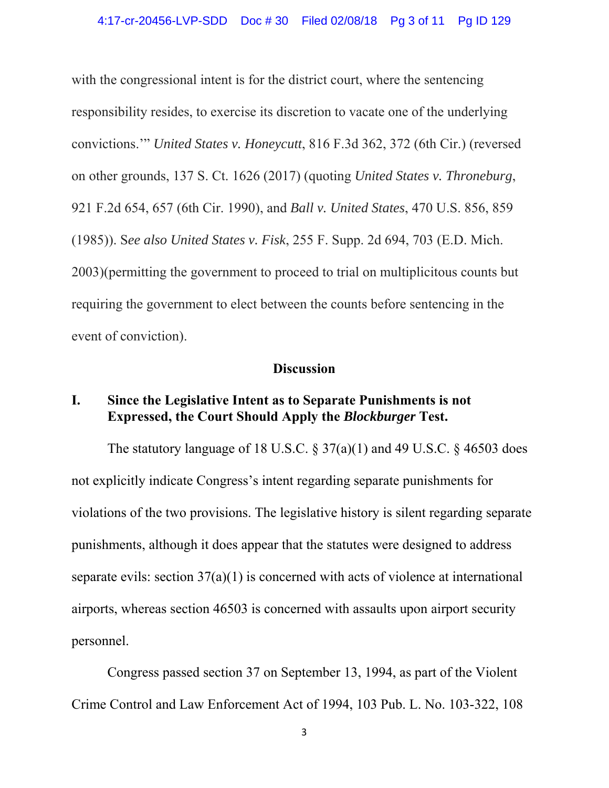with the congressional intent is for the district court, where the sentencing responsibility resides, to exercise its discretion to vacate one of the underlying convictions.'" *United States v. Honeycutt*, 816 F.3d 362, 372 (6th Cir.) (reversed on other grounds, 137 S. Ct. 1626 (2017) (quoting *United States v. Throneburg*, 921 F.2d 654, 657 (6th Cir. 1990), and *Ball v. United States*, 470 U.S. 856, 859 (1985)). S*ee also United States v. Fisk*, 255 F. Supp. 2d 694, 703 (E.D. Mich. 2003)(permitting the government to proceed to trial on multiplicitous counts but requiring the government to elect between the counts before sentencing in the event of conviction).

## **Discussion**

## **I. Since the Legislative Intent as to Separate Punishments is not Expressed, the Court Should Apply the** *Blockburger* **Test.**

The statutory language of 18 U.S.C.  $\S 37(a)(1)$  and 49 U.S.C.  $\S 46503$  does not explicitly indicate Congress's intent regarding separate punishments for violations of the two provisions. The legislative history is silent regarding separate punishments, although it does appear that the statutes were designed to address separate evils: section 37(a)(1) is concerned with acts of violence at international airports, whereas section 46503 is concerned with assaults upon airport security personnel.

Congress passed section 37 on September 13, 1994, as part of the Violent Crime Control and Law Enforcement Act of 1994, 103 Pub. L. No. 103-322, 108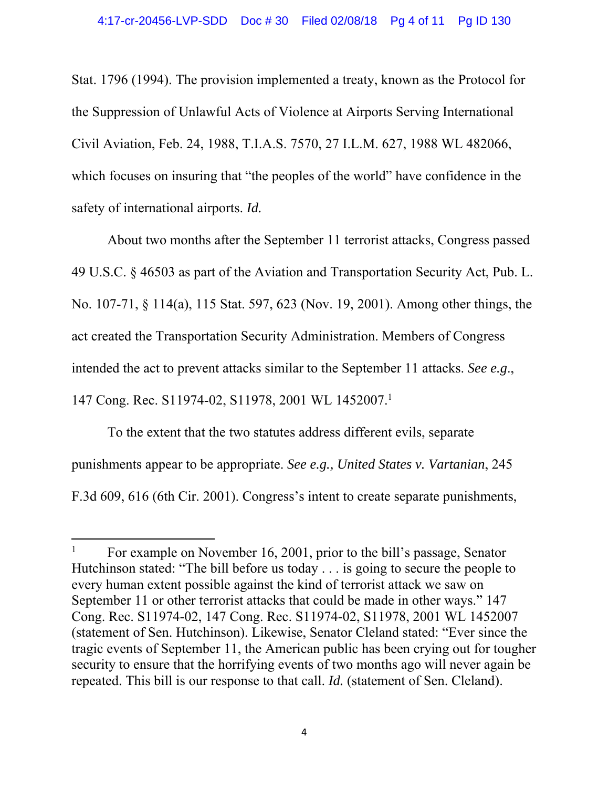Stat. 1796 (1994). The provision implemented a treaty, known as the Protocol for the Suppression of Unlawful Acts of Violence at Airports Serving International Civil Aviation, Feb. 24, 1988, T.I.A.S. 7570, 27 I.L.M. 627, 1988 WL 482066, which focuses on insuring that "the peoples of the world" have confidence in the safety of international airports. *Id.*

About two months after the September 11 terrorist attacks, Congress passed 49 U.S.C. § 46503 as part of the Aviation and Transportation Security Act, Pub. L. No. 107-71, § 114(a), 115 Stat. 597, 623 (Nov. 19, 2001). Among other things, the act created the Transportation Security Administration. Members of Congress intended the act to prevent attacks similar to the September 11 attacks. *See e.g*., 147 Cong. Rec. S11974-02, S11978, 2001 WL 1452007.1

To the extent that the two statutes address different evils, separate punishments appear to be appropriate. *See e.g., United States v. Vartanian*, 245 F.3d 609, 616 (6th Cir. 2001). Congress's intent to create separate punishments,

<sup>1</sup> For example on November 16, 2001, prior to the bill's passage, Senator Hutchinson stated: "The bill before us today . . . is going to secure the people to every human extent possible against the kind of terrorist attack we saw on September 11 or other terrorist attacks that could be made in other ways." 147 Cong. Rec. S11974-02, 147 Cong. Rec. S11974-02, S11978, 2001 WL 1452007 (statement of Sen. Hutchinson). Likewise, Senator Cleland stated: "Ever since the tragic events of September 11, the American public has been crying out for tougher security to ensure that the horrifying events of two months ago will never again be repeated. This bill is our response to that call. *Id.* (statement of Sen. Cleland).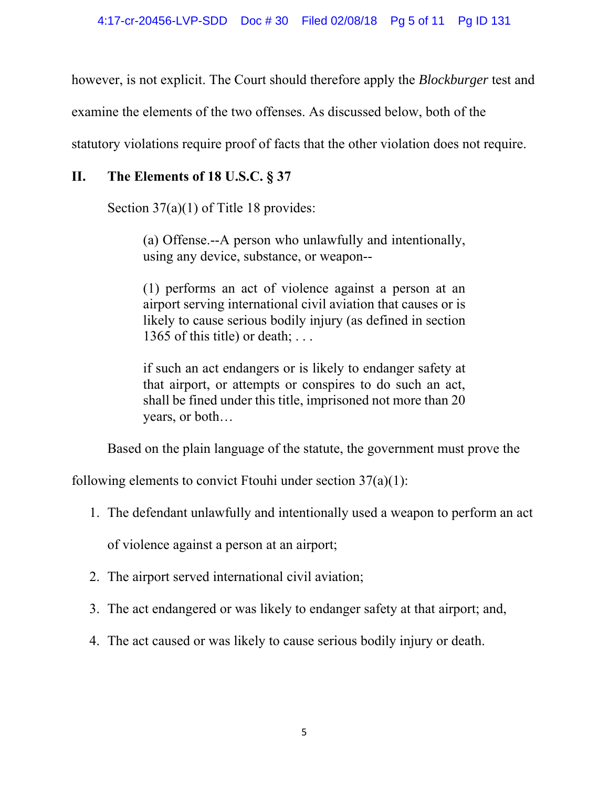however, is not explicit. The Court should therefore apply the *Blockburger* test and

examine the elements of the two offenses. As discussed below, both of the

statutory violations require proof of facts that the other violation does not require.

## **II. The Elements of 18 U.S.C. § 37**

Section 37(a)(1) of Title 18 provides:

(a) Offense.--A person who unlawfully and intentionally, using any device, substance, or weapon--

(1) performs an act of violence against a person at an airport serving international civil aviation that causes or is likely to cause serious bodily injury (as defined in section 1365 of this title) or death;  $\dots$ 

if such an act endangers or is likely to endanger safety at that airport, or attempts or conspires to do such an act, shall be fined under this title, imprisoned not more than 20 years, or both…

Based on the plain language of the statute, the government must prove the

following elements to convict Ftouhi under section  $37(a)(1)$ :

1. The defendant unlawfully and intentionally used a weapon to perform an act

of violence against a person at an airport;

- 2. The airport served international civil aviation;
- 3. The act endangered or was likely to endanger safety at that airport; and,
- 4. The act caused or was likely to cause serious bodily injury or death.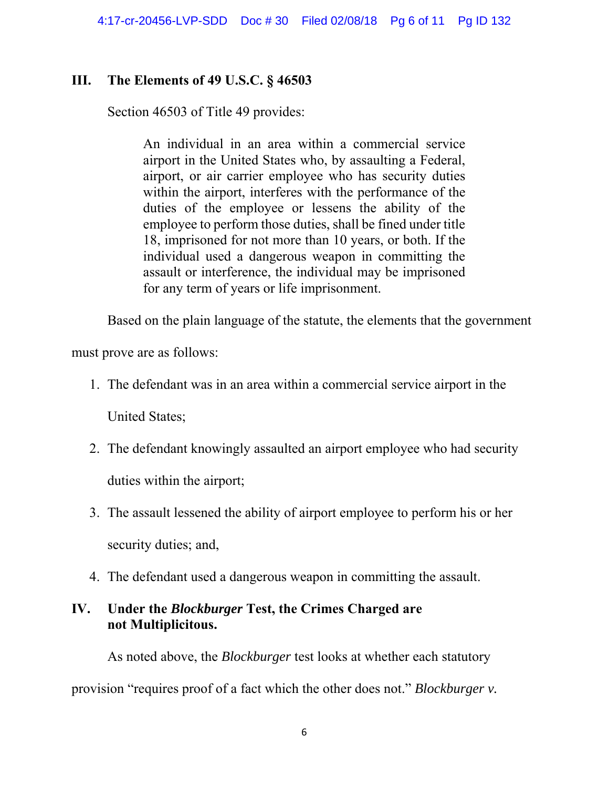# **III. The Elements of 49 U.S.C. § 46503**

Section 46503 of Title 49 provides:

An individual in an area within a commercial service airport in the United States who, by assaulting a Federal, airport, or air carrier employee who has security duties within the airport, interferes with the performance of the duties of the employee or lessens the ability of the employee to perform those duties, shall be fined under title 18, imprisoned for not more than 10 years, or both. If the individual used a dangerous weapon in committing the assault or interference, the individual may be imprisoned for any term of years or life imprisonment.

Based on the plain language of the statute, the elements that the government

must prove are as follows:

1. The defendant was in an area within a commercial service airport in the

United States;

- 2. The defendant knowingly assaulted an airport employee who had security duties within the airport;
- 3. The assault lessened the ability of airport employee to perform his or her security duties; and,
- 4. The defendant used a dangerous weapon in committing the assault.

# **IV. Under the** *Blockburger* **Test, the Crimes Charged are not Multiplicitous.**

 As noted above, the *Blockburger* test looks at whether each statutory provision "requires proof of a fact which the other does not." *Blockburger v.*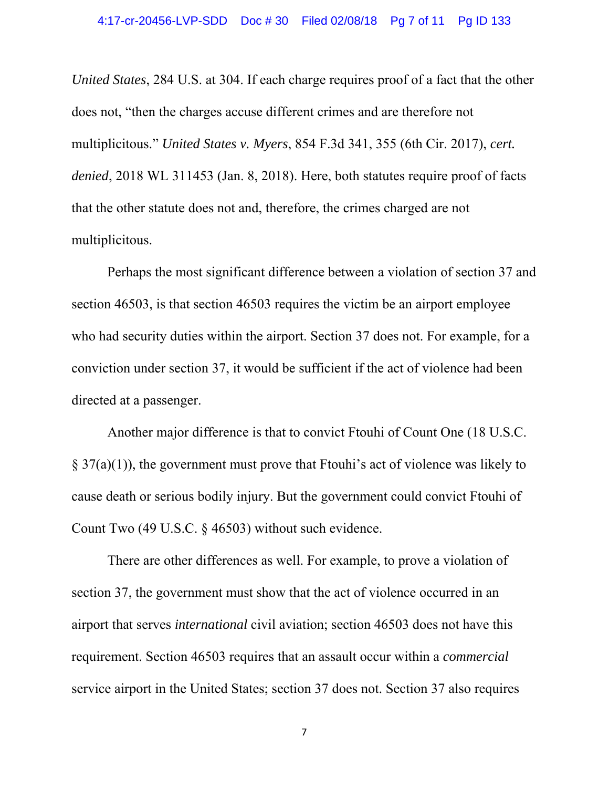*United States*, 284 U.S. at 304. If each charge requires proof of a fact that the other does not, "then the charges accuse different crimes and are therefore not multiplicitous." *United States v. Myers*, 854 F.3d 341, 355 (6th Cir. 2017), *cert. denied*, 2018 WL 311453 (Jan. 8, 2018). Here, both statutes require proof of facts that the other statute does not and, therefore, the crimes charged are not multiplicitous.

 Perhaps the most significant difference between a violation of section 37 and section 46503, is that section 46503 requires the victim be an airport employee who had security duties within the airport. Section 37 does not. For example, for a conviction under section 37, it would be sufficient if the act of violence had been directed at a passenger.

 Another major difference is that to convict Ftouhi of Count One (18 U.S.C.  $\S 37(a)(1)$ , the government must prove that Ftouhi's act of violence was likely to cause death or serious bodily injury. But the government could convict Ftouhi of Count Two (49 U.S.C. § 46503) without such evidence.

 There are other differences as well. For example, to prove a violation of section 37, the government must show that the act of violence occurred in an airport that serves *international* civil aviation; section 46503 does not have this requirement. Section 46503 requires that an assault occur within a *commercial* service airport in the United States; section 37 does not. Section 37 also requires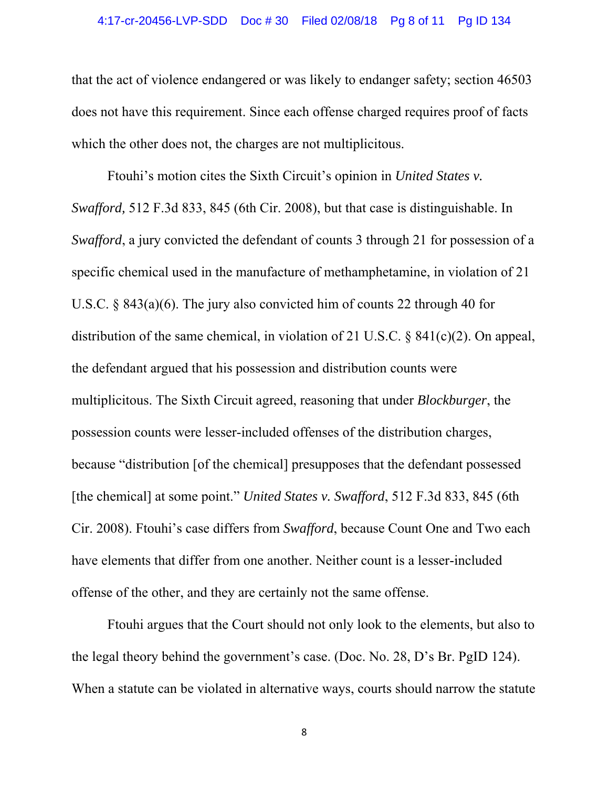#### 4:17-cr-20456-LVP-SDD Doc # 30 Filed 02/08/18 Pg 8 of 11 Pg ID 134

that the act of violence endangered or was likely to endanger safety; section 46503 does not have this requirement. Since each offense charged requires proof of facts which the other does not, the charges are not multiplicitous.

Ftouhi's motion cites the Sixth Circuit's opinion in *United States v. Swafford,* 512 F.3d 833, 845 (6th Cir. 2008), but that case is distinguishable. In *Swafford*, a jury convicted the defendant of counts 3 through 21 for possession of a specific chemical used in the manufacture of methamphetamine, in violation of 21 U.S.C. § 843(a)(6). The jury also convicted him of counts 22 through 40 for distribution of the same chemical, in violation of 21 U.S.C. § 841(c)(2). On appeal, the defendant argued that his possession and distribution counts were multiplicitous. The Sixth Circuit agreed, reasoning that under *Blockburger*, the possession counts were lesser-included offenses of the distribution charges, because "distribution [of the chemical] presupposes that the defendant possessed [the chemical] at some point." *United States v. Swafford*, 512 F.3d 833, 845 (6th Cir. 2008). Ftouhi's case differs from *Swafford*, because Count One and Two each have elements that differ from one another. Neither count is a lesser-included offense of the other, and they are certainly not the same offense.

Ftouhi argues that the Court should not only look to the elements, but also to the legal theory behind the government's case. (Doc. No. 28, D's Br. PgID 124). When a statute can be violated in alternative ways, courts should narrow the statute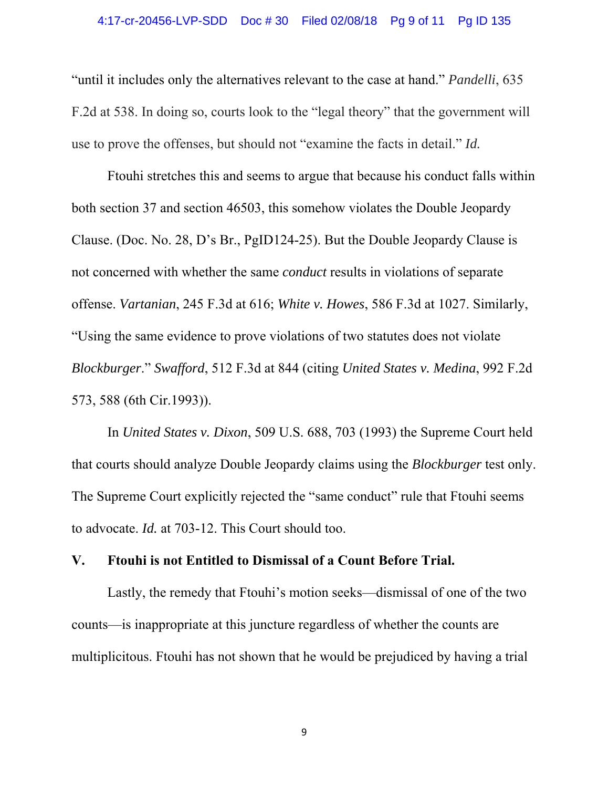### 4:17-cr-20456-LVP-SDD Doc # 30 Filed 02/08/18 Pg 9 of 11 Pg ID 135

"until it includes only the alternatives relevant to the case at hand." *Pandelli*, 635 F.2d at 538. In doing so, courts look to the "legal theory" that the government will use to prove the offenses, but should not "examine the facts in detail." *Id.*

Ftouhi stretches this and seems to argue that because his conduct falls within both section 37 and section 46503, this somehow violates the Double Jeopardy Clause. (Doc. No. 28, D's Br., PgID124-25). But the Double Jeopardy Clause is not concerned with whether the same *conduct* results in violations of separate offense. *Vartanian*, 245 F.3d at 616; *White v. Howes*, 586 F.3d at 1027. Similarly, "Using the same evidence to prove violations of two statutes does not violate *Blockburger*." *Swafford*, 512 F.3d at 844 (citing *United States v. Medina*, 992 F.2d 573, 588 (6th Cir.1993)).

In *United States v. Dixon*, 509 U.S. 688, 703 (1993) the Supreme Court held that courts should analyze Double Jeopardy claims using the *Blockburger* test only. The Supreme Court explicitly rejected the "same conduct" rule that Ftouhi seems to advocate. *Id.* at 703-12. This Court should too.

## **V. Ftouhi is not Entitled to Dismissal of a Count Before Trial.**

Lastly, the remedy that Ftouhi's motion seeks—dismissal of one of the two counts—is inappropriate at this juncture regardless of whether the counts are multiplicitous. Ftouhi has not shown that he would be prejudiced by having a trial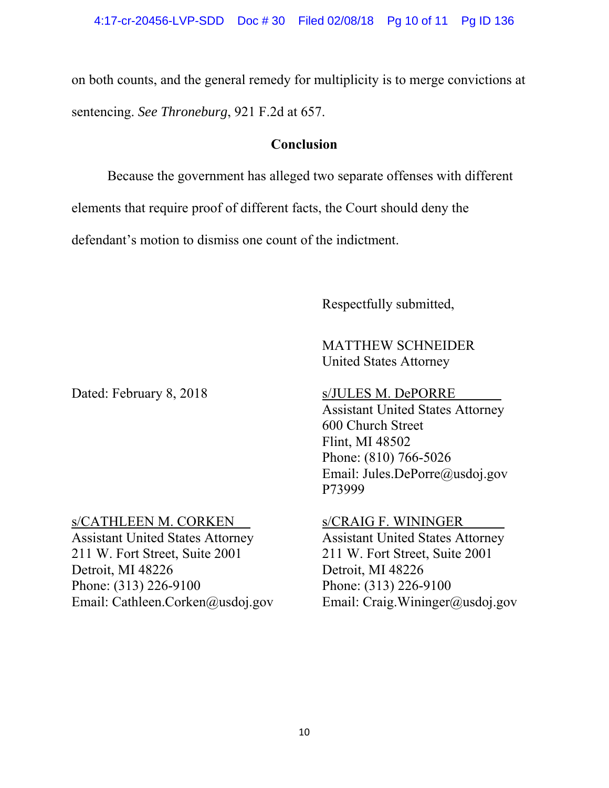on both counts, and the general remedy for multiplicity is to merge convictions at sentencing. *See Throneburg*, 921 F.2d at 657.

## **Conclusion**

Because the government has alleged two separate offenses with different elements that require proof of different facts, the Court should deny the defendant's motion to dismiss one count of the indictment.

Respectfully submitted,

# MATTHEW SCHNEIDER United States Attorney

Dated: February 8, 2018 s/JULES M. DePORRE

# s/CATHLEEN M. CORKEN

Assistant United States Attorney 211 W. Fort Street, Suite 2001 Detroit, MI 48226 Phone: (313) 226-9100 Email: Cathleen.Corken@usdoj.gov

Assistant United States Attorney 600 Church Street Flint, MI 48502 Phone: (810) 766-5026 Email: Jules.DePorre@usdoj.gov P73999

# s/CRAIG F. WININGER

Assistant United States Attorney 211 W. Fort Street, Suite 2001 Detroit, MI 48226 Phone: (313) 226-9100 Email: Craig.Wininger@usdoj.gov